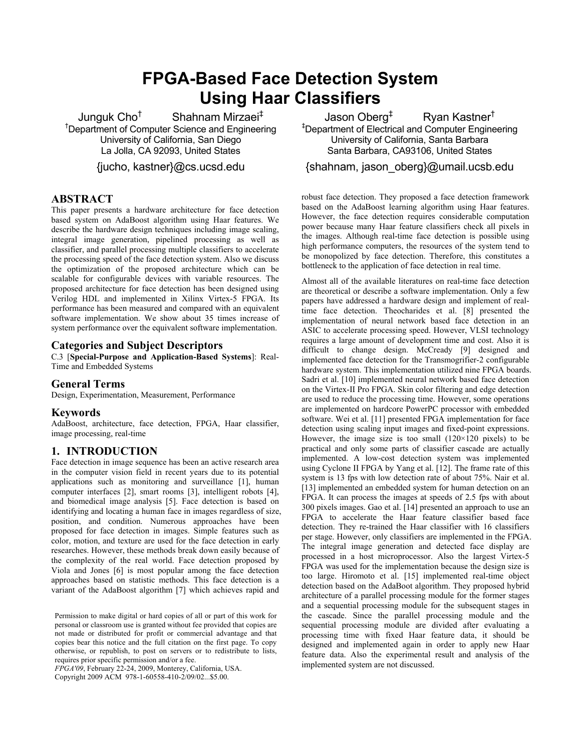# **FPGA-Based Face Detection System Using Haar Classifiers**

Junguk Cho† Shahnam Mirzaei‡ † Department of Computer Science and Engineering University of California, San Diego La Jolla, CA 92093, United States

{jucho, kastner}@cs.ucsd.edu

# **ABSTRACT**

This paper presents a hardware architecture for face detection based system on AdaBoost algorithm using Haar features. We describe the hardware design techniques including image scaling, integral image generation, pipelined processing as well as classifier, and parallel processing multiple classifiers to accelerate the processing speed of the face detection system. Also we discuss the optimization of the proposed architecture which can be scalable for configurable devices with variable resources. The proposed architecture for face detection has been designed using Verilog HDL and implemented in Xilinx Virtex-5 FPGA. Its performance has been measured and compared with an equivalent software implementation. We show about 35 times increase of system performance over the equivalent software implementation.

## **Categories and Subject Descriptors**

C.3 [**Special-Purpose and Application-Based Systems**]: Real-Time and Embedded Systems

# **General Terms**

Design, Experimentation, Measurement, Performance

# **Keywords**

AdaBoost, architecture, face detection, FPGA, Haar classifier, image processing, real-time

## **1. INTRODUCTION**

Face detection in image sequence has been an active research area in the computer vision field in recent years due to its potential applications such as monitoring and surveillance [1], human computer interfaces [2], smart rooms [3], intelligent robots [4], and biomedical image analysis [5]. Face detection is based on identifying and locating a human face in images regardless of size, position, and condition. Numerous approaches have been proposed for face detection in images. Simple features such as color, motion, and texture are used for the face detection in early researches. However, these methods break down easily because of the complexity of the real world. Face detection proposed by Viola and Jones [6] is most popular among the face detection approaches based on statistic methods. This face detection is a variant of the AdaBoost algorithm [7] which achieves rapid and

*FPGA'09*, February 22-24, 2009, Monterey, California, USA.

Copyright 2009 ACM 978-1-60558-410-2/09/02...\$5.00.

Jason Oberg‡ Ryan Kastner† ‡ Department of Electrical and Computer Engineering University of California, Santa Barbara Santa Barbara, CA93106, United States

{shahnam, jason\_oberg}@umail.ucsb.edu

robust face detection. They proposed a face detection framework based on the AdaBoost learning algorithm using Haar features. However, the face detection requires considerable computation power because many Haar feature classifiers check all pixels in the images. Although real-time face detection is possible using high performance computers, the resources of the system tend to be monopolized by face detection. Therefore, this constitutes a bottleneck to the application of face detection in real time.

Almost all of the available literatures on real-time face detection are theoretical or describe a software implementation. Only a few papers have addressed a hardware design and implement of realtime face detection. Theocharides et al. [8] presented the implementation of neural network based face detection in an ASIC to accelerate processing speed. However, VLSI technology requires a large amount of development time and cost. Also it is difficult to change design. McCready [9] designed and implemented face detection for the Transmogrifier-2 configurable hardware system. This implementation utilized nine FPGA boards. Sadri et al. [10] implemented neural network based face detection on the Virtex-II Pro FPGA. Skin color filtering and edge detection are used to reduce the processing time. However, some operations are implemented on hardcore PowerPC processor with embedded software. Wei et al. [11] presented FPGA implementation for face detection using scaling input images and fixed-point expressions. However, the image size is too small  $(120 \times 120)$  pixels) to be practical and only some parts of classifier cascade are actually implemented. A low-cost detection system was implemented using Cyclone II FPGA by Yang et al. [12]. The frame rate of this system is 13 fps with low detection rate of about 75%. Nair et al. [13] implemented an embedded system for human detection on an FPGA. It can process the images at speeds of 2.5 fps with about 300 pixels images. Gao et al. [14] presented an approach to use an FPGA to accelerate the Haar feature classifier based face detection. They re-trained the Haar classifier with 16 classifiers per stage. However, only classifiers are implemented in the FPGA. The integral image generation and detected face display are processed in a host microprocessor. Also the largest Virtex-5 FPGA was used for the implementation because the design size is too large. Hiromoto et al. [15] implemented real-time object detection based on the AdaBoot algorithm. They proposed hybrid architecture of a parallel processing module for the former stages and a sequential processing module for the subsequent stages in the cascade. Since the parallel processing module and the sequential processing module are divided after evaluating a processing time with fixed Haar feature data, it should be designed and implemented again in order to apply new Haar feature data. Also the experimental result and analysis of the implemented system are not discussed.

Permission to make digital or hard copies of all or part of this work for personal or classroom use is granted without fee provided that copies are not made or distributed for profit or commercial advantage and that copies bear this notice and the full citation on the first page. To copy otherwise, or republish, to post on servers or to redistribute to lists, requires prior specific permission and/or a fee.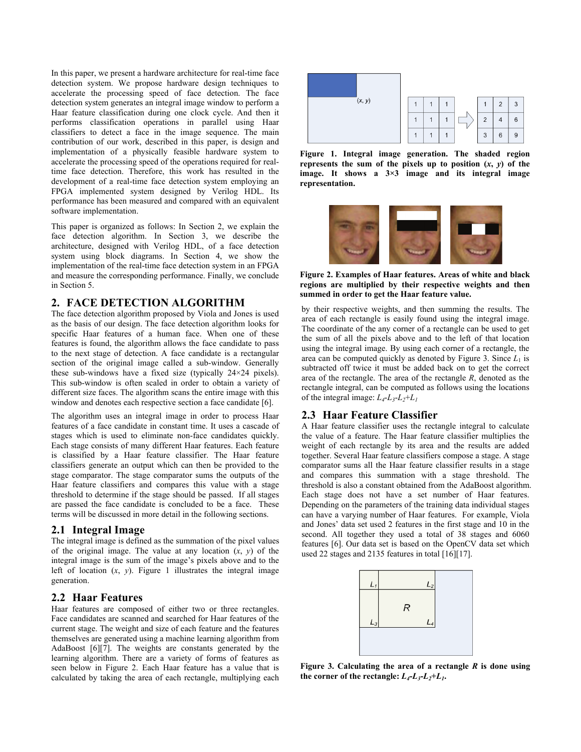In this paper, we present a hardware architecture for real-time face detection system. We propose hardware design techniques to accelerate the processing speed of face detection. The face detection system generates an integral image window to perform a Haar feature classification during one clock cycle. And then it performs classification operations in parallel using Haar classifiers to detect a face in the image sequence. The main contribution of our work, described in this paper, is design and implementation of a physically feasible hardware system to accelerate the processing speed of the operations required for realtime face detection. Therefore, this work has resulted in the development of a real-time face detection system employing an FPGA implemented system designed by Verilog HDL. Its performance has been measured and compared with an equivalent software implementation.

This paper is organized as follows: In Section 2, we explain the face detection algorithm. In Section 3, we describe the architecture, designed with Verilog HDL, of a face detection system using block diagrams. In Section 4, we show the implementation of the real-time face detection system in an FPGA and measure the corresponding performance. Finally, we conclude in Section 5.

# **2. FACE DETECTION ALGORITHM**

The face detection algorithm proposed by Viola and Jones is used as the basis of our design. The face detection algorithm looks for specific Haar features of a human face. When one of these features is found, the algorithm allows the face candidate to pass to the next stage of detection. A face candidate is a rectangular section of the original image called a sub-window. Generally these sub-windows have a fixed size (typically 24×24 pixels). This sub-window is often scaled in order to obtain a variety of different size faces. The algorithm scans the entire image with this window and denotes each respective section a face candidate [6].

The algorithm uses an integral image in order to process Haar features of a face candidate in constant time. It uses a cascade of stages which is used to eliminate non-face candidates quickly. Each stage consists of many different Haar features. Each feature is classified by a Haar feature classifier. The Haar feature classifiers generate an output which can then be provided to the stage comparator. The stage comparator sums the outputs of the Haar feature classifiers and compares this value with a stage threshold to determine if the stage should be passed. If all stages are passed the face candidate is concluded to be a face. These terms will be discussed in more detail in the following sections.

#### **2.1 Integral Image**

The integral image is defined as the summation of the pixel values of the original image. The value at any location (*x*, *y*) of the integral image is the sum of the image's pixels above and to the left of location  $(x, y)$ . Figure 1 illustrates the integral image generation.

### **2.2 Haar Features**

Haar features are composed of either two or three rectangles. Face candidates are scanned and searched for Haar features of the current stage. The weight and size of each feature and the features themselves are generated using a machine learning algorithm from AdaBoost [6][7]. The weights are constants generated by the learning algorithm. There are a variety of forms of features as seen below in Figure 2. Each Haar feature has a value that is calculated by taking the area of each rectangle, multiplying each



**Figure 1. Integral image generation. The shaded region**  represents the sum of the pixels up to position  $(x, y)$  of the **image. It shows a 3×3 image and its integral image representation.** 



**Figure 2. Examples of Haar features. Areas of white and black regions are multiplied by their respective weights and then summed in order to get the Haar feature value.** 

by their respective weights, and then summing the results. The area of each rectangle is easily found using the integral image. The coordinate of the any corner of a rectangle can be used to get the sum of all the pixels above and to the left of that location using the integral image. By using each corner of a rectangle, the area can be computed quickly as denoted by Figure 3. Since  $L_1$  is subtracted off twice it must be added back on to get the correct area of the rectangle. The area of the rectangle *R*, denoted as the rectangle integral, can be computed as follows using the locations of the integral image:  $L_4 - L_3 - L_2 + L_1$ 

## **2.3 Haar Feature Classifier**

A Haar feature classifier uses the rectangle integral to calculate the value of a feature. The Haar feature classifier multiplies the weight of each rectangle by its area and the results are added together. Several Haar feature classifiers compose a stage. A stage comparator sums all the Haar feature classifier results in a stage and compares this summation with a stage threshold. The threshold is also a constant obtained from the AdaBoost algorithm. Each stage does not have a set number of Haar features. Depending on the parameters of the training data individual stages can have a varying number of Haar features. For example, Viola and Jones' data set used 2 features in the first stage and 10 in the second. All together they used a total of 38 stages and 6060 features [6]. Our data set is based on the OpenCV data set which used 22 stages and 2135 features in total [16][17].



**Figure 3. Calculating the area of a rectangle** *R* **is done using**  the corner of the rectangle:  $L_4$ - $L_3$ - $L_2$ + $L_1$ .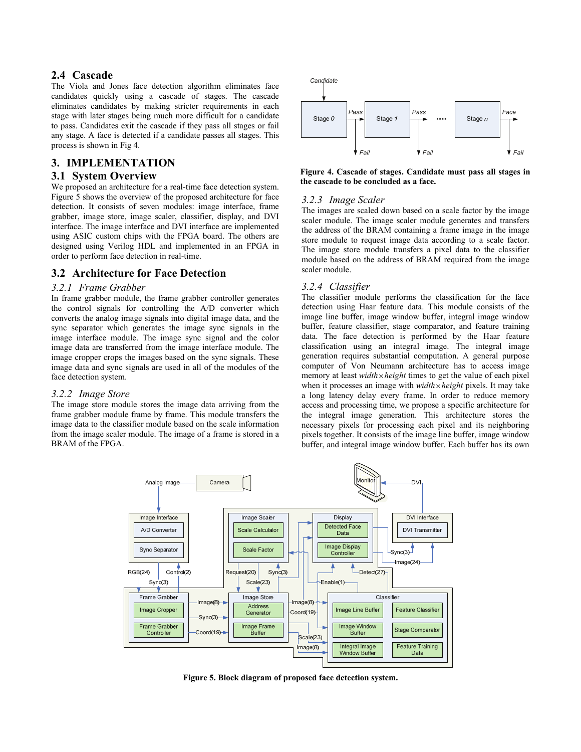## **2.4 Cascade**

The Viola and Jones face detection algorithm eliminates face candidates quickly using a cascade of stages. The cascade eliminates candidates by making stricter requirements in each stage with later stages being much more difficult for a candidate to pass. Candidates exit the cascade if they pass all stages or fail any stage. A face is detected if a candidate passes all stages. This process is shown in Fig 4.

## **3. IMPLEMENTATION**

#### **3.1 System Overview**

We proposed an architecture for a real-time face detection system. Figure 5 shows the overview of the proposed architecture for face detection. It consists of seven modules: image interface, frame grabber, image store, image scaler, classifier, display, and DVI interface. The image interface and DVI interface are implemented using ASIC custom chips with the FPGA board. The others are designed using Verilog HDL and implemented in an FPGA in order to perform face detection in real-time.

## **3.2 Architecture for Face Detection**

#### *3.2.1 Frame Grabber*

In frame grabber module, the frame grabber controller generates the control signals for controlling the A/D converter which converts the analog image signals into digital image data, and the sync separator which generates the image sync signals in the image interface module. The image sync signal and the color image data are transferred from the image interface module. The image cropper crops the images based on the sync signals. These image data and sync signals are used in all of the modules of the face detection system.

#### *3.2.2 Image Store*

The image store module stores the image data arriving from the frame grabber module frame by frame. This module transfers the image data to the classifier module based on the scale information from the image scaler module. The image of a frame is stored in a BRAM of the FPGA.



**Figure 4. Cascade of stages. Candidate must pass all stages in the cascade to be concluded as a face.** 

#### *3.2.3 Image Scaler*

The images are scaled down based on a scale factor by the image scaler module. The image scaler module generates and transfers the address of the BRAM containing a frame image in the image store module to request image data according to a scale factor. The image store module transfers a pixel data to the classifier module based on the address of BRAM required from the image scaler module.

#### *3.2.4 Classifier*

The classifier module performs the classification for the face detection using Haar feature data. This module consists of the image line buffer, image window buffer, integral image window buffer, feature classifier, stage comparator, and feature training data. The face detection is performed by the Haar feature classification using an integral image. The integral image generation requires substantial computation. A general purpose computer of Von Neumann architecture has to access image memory at least *width*×*height* times to get the value of each pixel when it processes an image with *width*×*height* pixels. It may take a long latency delay every frame. In order to reduce memory access and processing time, we propose a specific architecture for the integral image generation. This architecture stores the necessary pixels for processing each pixel and its neighboring pixels together. It consists of the image line buffer, image window buffer, and integral image window buffer. Each buffer has its own



**Figure 5. Block diagram of proposed face detection system.**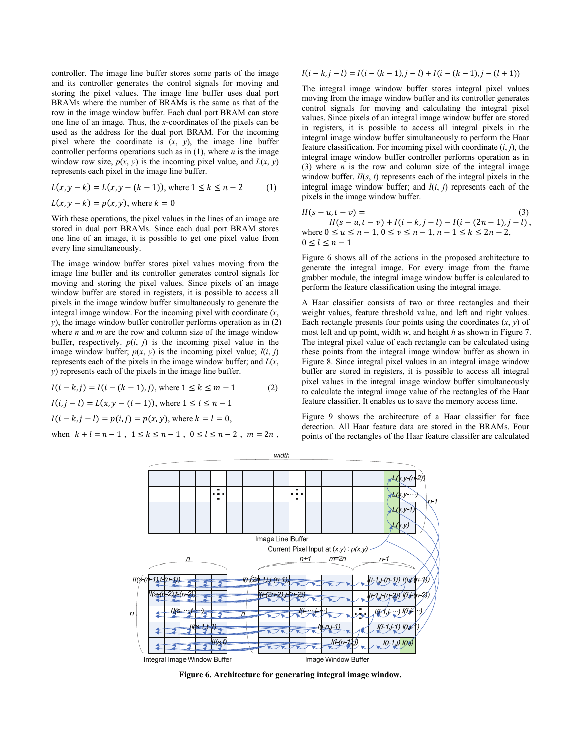controller. The image line buffer stores some parts of the image and its controller generates the control signals for moving and storing the pixel values. The image line buffer uses dual port BRAMs where the number of BRAMs is the same as that of the row in the image window buffer. Each dual port BRAM can store one line of an image. Thus, the *x*-coordinates of the pixels can be used as the address for the dual port BRAM. For the incoming pixel where the coordinate is  $(x, y)$ , the image line buffer controller performs operations such as in (1), where *n* is the image window row size,  $p(x, y)$  is the incoming pixel value, and  $L(x, y)$ represents each pixel in the image line buffer.

$$
L(x, y - k) = L(x, y - (k - 1)), \text{ where } 1 \le k \le n - 2 \quad (1)
$$
  

$$
L(x, y - k) = p(x, y), \text{ where } k = 0
$$

With these operations, the pixel values in the lines of an image are stored in dual port BRAMs. Since each dual port BRAM stores one line of an image, it is possible to get one pixel value from every line simultaneously.

The image window buffer stores pixel values moving from the image line buffer and its controller generates control signals for moving and storing the pixel values. Since pixels of an image window buffer are stored in registers, it is possible to access all pixels in the image window buffer simultaneously to generate the integral image window. For the incoming pixel with coordinate (*x*,  $y$ ), the image window buffer controller performs operation as in  $(2)$ where *n* and *m* are the row and column size of the image window buffer, respectively.  $p(i, j)$  is the incoming pixel value in the image window buffer;  $p(x, y)$  is the incoming pixel value;  $I(i, j)$ represents each of the pixels in the image window buffer; and *L*(*x*, *y*) represents each of the pixels in the image line buffer.

$$
I(i - k, j) = I(i - (k - 1), j), \text{ where } 1 \le k \le m - 1 \tag{2}
$$

 $I(i, j - l) = L(x, y - (l - 1))$ , where  $1 \le l \le n - 1$ 

 $I(i - k, j - l) = p(i, j) = p(x, y)$ , where  $k = l = 0$ ,

when 
$$
k + l = n - 1
$$
,  $1 \le k \le n - 1$ ,  $0 \le l \le n - 2$ ,  $m = 2n$ ,

$$
I(i-k,j-l) = I(i-(k-1),j-l) + I(i-(k-1),j-(l+1))
$$

The integral image window buffer stores integral pixel values moving from the image window buffer and its controller generates control signals for moving and calculating the integral pixel values. Since pixels of an integral image window buffer are stored in registers, it is possible to access all integral pixels in the integral image window buffer simultaneously to perform the Haar feature classification. For incoming pixel with coordinate (*i*, *j*), the integral image window buffer controller performs operation as in (3) where *n* is the row and column size of the integral image window buffer. *II*(*s*, *t*) represents each of the integral pixels in the integral image window buffer; and  $I(i, j)$  represents each of the pixels in the image window buffer.

$$
II(s-u, t-v) = \n\begin{aligned}\n &I((s-u, t-v) + I(i-k, j-l) - I(i-(2n-1), j-l), \\
&= \n\begin{aligned}\n &I((s-u, t-v) + I(i-k, j-l) - I(i-(2n-1), j-l), \\
&= \n\begin{aligned}\n &I &\leq u \leq n-1, 0 \leq v \leq n-1, n-1 \leq k \leq 2n-2, \\
&0 &\leq l \leq n-1\n\end{aligned}\n\end{aligned}
$$

Figure 6 shows all of the actions in the proposed architecture to generate the integral image. For every image from the frame grabber module, the integral image window buffer is calculated to perform the feature classification using the integral image.

A Haar classifier consists of two or three rectangles and their weight values, feature threshold value, and left and right values. Each rectangle presents four points using the coordinates  $(x, y)$  of most left and up point, width *w*, and height *h* as shown in Figure 7. The integral pixel value of each rectangle can be calculated using these points from the integral image window buffer as shown in Figure 8. Since integral pixel values in an integral image window buffer are stored in registers, it is possible to access all integral pixel values in the integral image window buffer simultaneously to calculate the integral image value of the rectangles of the Haar feature classifier. It enables us to save the memory access time.

Figure 9 shows the architecture of a Haar classifier for face detection. All Haar feature data are stored in the BRAMs. Four points of the rectangles of the Haar feature classifer are calculated



**Figure 6. Architecture for generating integral image window.**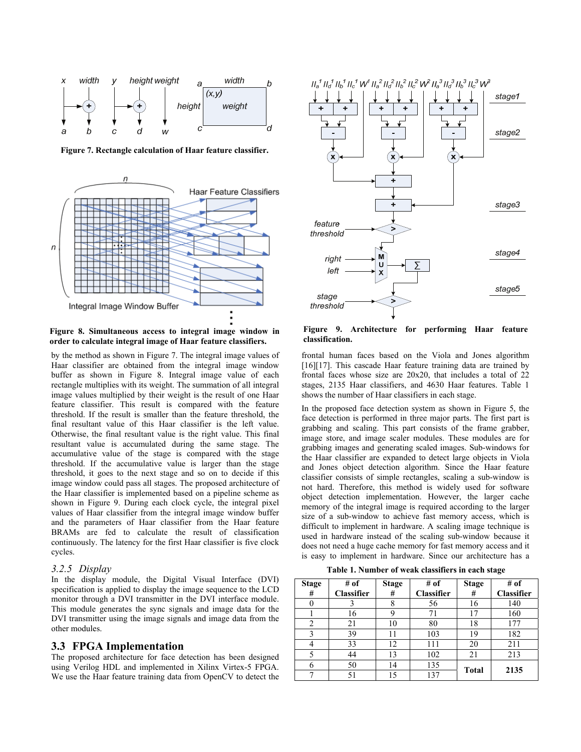

**Figure 7. Rectangle calculation of Haar feature classifier.** 



**Figure 8. Simultaneous access to integral image window in order to calculate integral image of Haar feature classifiers.** 

by the method as shown in Figure 7. The integral image values of Haar classifier are obtained from the integral image window buffer as shown in Figure 8. Integral image value of each rectangle multiplies with its weight. The summation of all integral image values multiplied by their weight is the result of one Haar feature classifier. This result is compared with the feature threshold. If the result is smaller than the feature threshold, the final resultant value of this Haar classifier is the left value. Otherwise, the final resultant value is the right value. This final resultant value is accumulated during the same stage. The accumulative value of the stage is compared with the stage threshold. If the accumulative value is larger than the stage threshold, it goes to the next stage and so on to decide if this image window could pass all stages. The proposed architecture of the Haar classifier is implemented based on a pipeline scheme as shown in Figure 9. During each clock cycle, the integral pixel values of Haar classifier from the integral image window buffer and the parameters of Haar classifier from the Haar feature BRAMs are fed to calculate the result of classification continuously. The latency for the first Haar classifier is five clock cycles.

#### *3.2.5 Display*

In the display module, the Digital Visual Interface (DVI) specification is applied to display the image sequence to the LCD monitor through a DVI transmitter in the DVI interface module. This module generates the sync signals and image data for the DVI transmitter using the image signals and image data from the other modules.

#### **3.3 FPGA Implementation**

The proposed architecture for face detection has been designed using Verilog HDL and implemented in Xilinx Virtex-5 FPGA. We use the Haar feature training data from OpenCV to detect the



**Figure 9. Architecture for performing Haar feature classification.** 

frontal human faces based on the Viola and Jones algorithm [16][17]. This cascade Haar feature training data are trained by frontal faces whose size are 20x20, that includes a total of 22 stages, 2135 Haar classifiers, and 4630 Haar features. Table 1 shows the number of Haar classifiers in each stage.

In the proposed face detection system as shown in Figure 5, the face detection is performed in three major parts. The first part is grabbing and scaling. This part consists of the frame grabber, image store, and image scaler modules. These modules are for grabbing images and generating scaled images. Sub-windows for the Haar classifier are expanded to detect large objects in Viola and Jones object detection algorithm. Since the Haar feature classifier consists of simple rectangles, scaling a sub-window is not hard. Therefore, this method is widely used for software object detection implementation. However, the larger cache memory of the integral image is required according to the larger size of a sub-window to achieve fast memory access, which is difficult to implement in hardware. A scaling image technique is used in hardware instead of the scaling sub-window because it does not need a huge cache memory for fast memory access and it is easy to implement in hardware. Since our architecture has a

**Table 1. Number of weak classifiers in each stage** 

| <b>Stage</b> | # of       | <b>Stage</b> | # of       | <b>Stage</b> | # of       |  |
|--------------|------------|--------------|------------|--------------|------------|--|
| #            | Classifier | #            | Classifier | #            | Classifier |  |
| 0            |            | 8            | 56         | 16           | 140        |  |
|              | 16         |              | 71         | 17           | 160        |  |
| 2            | 21         | 10           | 80         | 18           | 177        |  |
|              | 39         |              | 103        | 19           | 182        |  |
|              | 33         | 12           | 111        | 20           | 211        |  |
|              | 44         | 13           | 102        | 21           | 213        |  |
| 6            | 50         | 14           | 135        |              | 2135       |  |
| ┑            | 51         | 15           | 137        | <b>Total</b> |            |  |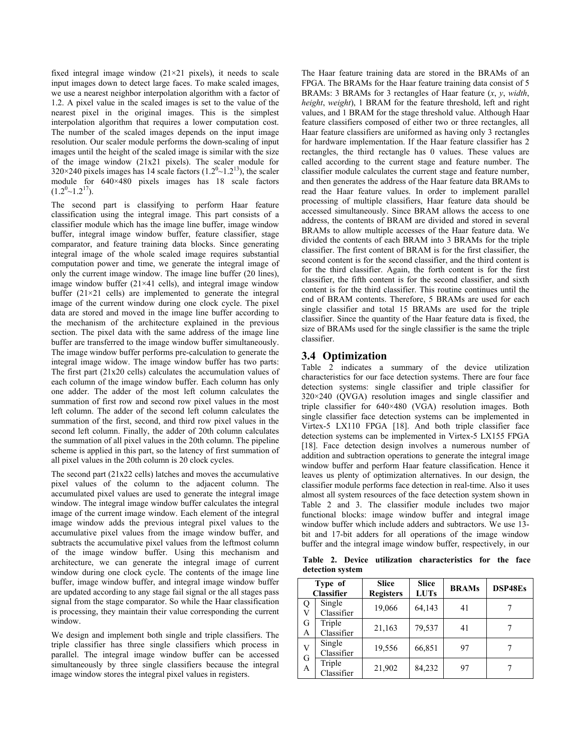fixed integral image window  $(21\times21$  pixels), it needs to scale input images down to detect large faces. To make scaled images, we use a nearest neighbor interpolation algorithm with a factor of 1.2. A pixel value in the scaled images is set to the value of the nearest pixel in the original images. This is the simplest interpolation algorithm that requires a lower computation cost. The number of the scaled images depends on the input image resolution. Our scaler module performs the down-scaling of input images until the height of the scaled image is similar with the size of the image window (21x21 pixels). The scaler module for  $320 \times 240$  pixels images has 14 scale factors  $(1.2<sup>0</sup> \sim 1.2<sup>13</sup>)$ , the scaler module for 640×480 pixels images has 18 scale factors  $(1.2^{\circ}$  ~ 1.2<sup>17</sup>).

The second part is classifying to perform Haar feature classification using the integral image. This part consists of a classifier module which has the image line buffer, image window buffer, integral image window buffer, feature classifier, stage comparator, and feature training data blocks. Since generating integral image of the whole scaled image requires substantial computation power and time, we generate the integral image of only the current image window. The image line buffer (20 lines), image window buffer  $(21 \times 41 \text{ cells})$ , and integral image window buffer  $(21\times21$  cells) are implemented to generate the integral image of the current window during one clock cycle. The pixel data are stored and moved in the image line buffer according to the mechanism of the architecture explained in the previous section. The pixel data with the same address of the image line buffer are transferred to the image window buffer simultaneously. The image window buffer performs pre-calculation to generate the integral image widow. The image window buffer has two parts: The first part (21x20 cells) calculates the accumulation values of each column of the image window buffer. Each column has only one adder. The adder of the most left column calculates the summation of first row and second row pixel values in the most left column. The adder of the second left column calculates the summation of the first, second, and third row pixel values in the second left column. Finally, the adder of 20th column calculates the summation of all pixel values in the 20th column. The pipeline scheme is applied in this part, so the latency of first summation of all pixel values in the 20th column is 20 clock cycles.

The second part (21x22 cells) latches and moves the accumulative pixel values of the column to the adjacent column. The accumulated pixel values are used to generate the integral image window. The integral image window buffer calculates the integral image of the current image window. Each element of the integral image window adds the previous integral pixel values to the accumulative pixel values from the image window buffer, and subtracts the accumulative pixel values from the leftmost column of the image window buffer. Using this mechanism and architecture, we can generate the integral image of current window during one clock cycle. The contents of the image line buffer, image window buffer, and integral image window buffer are updated according to any stage fail signal or the all stages pass signal from the stage comparator. So while the Haar classification is processing, they maintain their value corresponding the current window.

We design and implement both single and triple classifiers. The triple classifier has three single classifiers which process in parallel. The integral image window buffer can be accessed simultaneously by three single classifiers because the integral image window stores the integral pixel values in registers.

The Haar feature training data are stored in the BRAMs of an FPGA. The BRAMs for the Haar feature training data consist of 5 BRAMs: 3 BRAMs for 3 rectangles of Haar feature (*x*, *y*, *width*, *height*, *weight*), 1 BRAM for the feature threshold, left and right values, and 1 BRAM for the stage threshold value. Although Haar feature classifiers composed of either two or three rectangles, all Haar feature classifiers are uniformed as having only 3 rectangles for hardware implementation. If the Haar feature classifier has 2 rectangles, the third rectangle has 0 values. These values are called according to the current stage and feature number. The classifier module calculates the current stage and feature number, and then generates the address of the Haar feature data BRAMs to read the Haar feature values. In order to implement parallel processing of multiple classifiers, Haar feature data should be accessed simultaneously. Since BRAM allows the access to one address, the contents of BRAM are divided and stored in several BRAMs to allow multiple accesses of the Haar feature data. We divided the contents of each BRAM into 3 BRAMs for the triple classifier. The first content of BRAM is for the first classifier, the second content is for the second classifier, and the third content is for the third classifier. Again, the forth content is for the first classifier, the fifth content is for the second classifier, and sixth content is for the third classifier. This routine continues until the end of BRAM contents. Therefore, 5 BRAMs are used for each single classifier and total 15 BRAMs are used for the triple classifier. Since the quantity of the Haar feature data is fixed, the size of BRAMs used for the single classifier is the same the triple classifier.

# **3.4 Optimization**

Table 2 indicates a summary of the device utilization characteristics for our face detection systems. There are four face detection systems: single classifier and triple classifier for 320×240 (QVGA) resolution images and single classifier and triple classifier for 640×480 (VGA) resolution images. Both single classifier face detection systems can be implemented in Virtex-5 LX110 FPGA [18]. And both triple classifier face detection systems can be implemented in Virtex-5 LX155 FPGA [18]. Face detection design involves a numerous number of addition and subtraction operations to generate the integral image window buffer and perform Haar feature classification. Hence it leaves us plenty of optimization alternatives. In our design, the classifier module performs face detection in real-time. Also it uses almost all system resources of the face detection system shown in Table 2 and 3. The classifier module includes two major functional blocks: image window buffer and integral image window buffer which include adders and subtractors. We use 13 bit and 17-bit adders for all operations of the image window buffer and the integral image window buffer, respectively, in our

**Table 2. Device utilization characteristics for the face detection system** 

| Type of<br><b>Classifier</b> |                      | <b>Slice</b><br><b>Registers</b> | <b>Slice</b><br><b>LUTs</b> | <b>BRAMs</b> | DSP48Es |
|------------------------------|----------------------|----------------------------------|-----------------------------|--------------|---------|
| Q<br>V                       | Single<br>Classifier | 19,066                           | 64,143                      | 41           |         |
| G<br>А                       | Triple<br>Classifier | 21,163                           | 79,537                      | 41           |         |
| V<br>G                       | Single<br>Classifier | 19,556                           | 66,851                      | 97           |         |
| A                            | Triple<br>Classifier | 21,902                           | 84,232                      | 97           |         |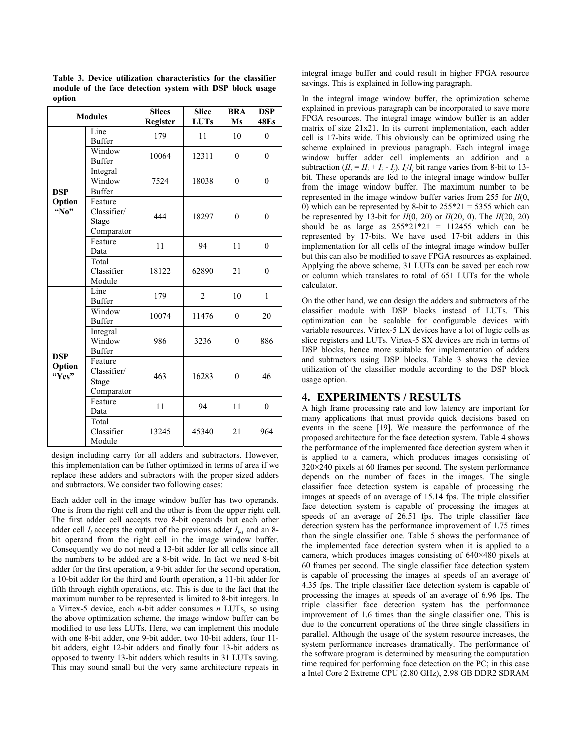| <b>Modules</b>                |                                               | <b>Slices</b><br>Register | <b>Slice</b><br><b>LUTs</b> | <b>BRA</b><br>Ms | <b>DSP</b><br><b>48Es</b> |
|-------------------------------|-----------------------------------------------|---------------------------|-----------------------------|------------------|---------------------------|
|                               | Line<br><b>Buffer</b>                         | 179                       | 11                          | 10               | $\mathbf{0}$              |
|                               | Window<br><b>Buffer</b>                       | 10064                     | 12311                       | $\mathbf{0}$     | $\overline{0}$            |
| <b>DSP</b>                    | Integral<br>Window<br><b>Buffer</b>           | 7524                      | 18038                       | $\mathbf{0}$     | $\overline{0}$            |
| Option<br>"No"                | Feature<br>Classifier/<br>Stage<br>Comparator | 444                       | 18297                       | $\theta$         | $\overline{0}$            |
|                               | Feature<br>Data                               | 11                        | 94                          | 11               | $\mathbf{0}$              |
|                               | Total<br>Classifier<br>Module                 | 18122                     | 62890                       | 21               | $\mathbf{0}$              |
|                               | Line<br><b>Buffer</b>                         | 179                       | $\overline{2}$              | 10               | 1                         |
|                               | Window<br><b>Buffer</b>                       | 10074                     | 11476                       | $\mathbf{0}$     | 20                        |
| <b>DSP</b><br>Option<br>"Yes" | Integral<br>Window<br><b>Buffer</b>           | 986                       | 3236                        | $\mathbf{0}$     | 886                       |
|                               | Feature<br>Classifier/<br>Stage<br>Comparator | 463                       | 16283                       | $\theta$         | 46                        |
|                               | Feature<br>Data                               | 11                        | 94                          | 11               | $\mathbf{0}$              |
|                               | Total<br>Classifier<br>Module                 | 13245                     | 45340                       | 21               | 964                       |

**Table 3. Device utilization characteristics for the classifier module of the face detection system with DSP block usage option** 

design including carry for all adders and subtractors. However, this implementation can be futher optimized in terms of area if we replace these adders and subractors with the proper sized adders and subtractors. We consider two following cases:

Each adder cell in the image window buffer has two operands. One is from the right cell and the other is from the upper right cell. The first adder cell accepts two 8-bit operands but each other adder cell  $I_i$  accepts the output of the previous adder  $I_{i-1}$  and an 8bit operand from the right cell in the image window buffer. Consequently we do not need a 13-bit adder for all cells since all the numbers to be added are a 8-bit wide. In fact we need 8-bit adder for the first operation, a 9-bit adder for the second operation, a 10-bit adder for the third and fourth operation, a 11-bit adder for fifth through eighth operations, etc. This is due to the fact that the maximum number to be represented is limited to 8-bit integers. In a Virtex-5 device, each *n*-bit adder consumes *n* LUTs, so using the above optimization scheme, the image window buffer can be modified to use less LUTs. Here, we can implement this module with one 8-bit adder, one 9-bit adder, two 10-bit adders, four 11 bit adders, eight 12-bit adders and finally four 13-bit adders as opposed to twenty 13-bit adders which results in 31 LUTs saving. This may sound small but the very same architecture repeats in

integral image buffer and could result in higher FPGA resource savings. This is explained in following paragraph.

In the integral image window buffer, the optimization scheme explained in previous paragraph can be incorporated to save more FPGA resources. The integral image window buffer is an adder matrix of size 21x21. In its current implementation, each adder cell is 17-bits wide. This obviously can be optimized using the scheme explained in previous paragraph. Each integral image window buffer adder cell implements an addition and a subtraction  $(II_i = II_i + I_i - I_i)$ .  $I_i/I_i$  bit range varies from 8-bit to 13bit. These operands are fed to the integral image window buffer from the image window buffer. The maximum number to be represented in the image window buffer varies from 255 for *II*(0, 0) which can be represented by 8-bit to  $255*21 = 5355$  which can be represented by 13-bit for *II*(0, 20) or *II*(20, 0). The *II*(20, 20) should be as large as  $255*21*21 = 112455$  which can be represented by 17-bits. We have used 17-bit adders in this implementation for all cells of the integral image window buffer but this can also be modified to save FPGA resources as explained. Applying the above scheme, 31 LUTs can be saved per each row or column which translates to total of 651 LUTs for the whole calculator.

On the other hand, we can design the adders and subtractors of the classifier module with DSP blocks instead of LUTs. This optimization can be scalable for configurable devices with variable resources. Virtex-5 LX devices have a lot of logic cells as slice registers and LUTs. Virtex-5 SX devices are rich in terms of DSP blocks, hence more suitable for implementation of adders and subtractors using DSP blocks. Table 3 shows the device utilization of the classifier module according to the DSP block usage option.

# **4. EXPERIMENTS / RESULTS**

A high frame processing rate and low latency are important for many applications that must provide quick decisions based on events in the scene [19]. We measure the performance of the proposed architecture for the face detection system. Table 4 shows the performance of the implemented face detection system when it is applied to a camera, which produces images consisting of 320×240 pixels at 60 frames per second. The system performance depends on the number of faces in the images. The single classifier face detection system is capable of processing the images at speeds of an average of 15.14 fps. The triple classifier face detection system is capable of processing the images at speeds of an average of 26.51 fps. The triple classifier face detection system has the performance improvement of 1.75 times than the single classifier one. Table 5 shows the performance of the implemented face detection system when it is applied to a camera, which produces images consisting of 640×480 pixels at 60 frames per second. The single classifier face detection system is capable of processing the images at speeds of an average of 4.35 fps. The triple classifier face detection system is capable of processing the images at speeds of an average of 6.96 fps. The triple classifier face detection system has the performance improvement of 1.6 times than the single classifier one. This is due to the concurrent operations of the three single classifiers in parallel. Although the usage of the system resource increases, the system performance increases dramatically. The performance of the software program is determined by measuring the computation time required for performing face detection on the PC; in this case a Intel Core 2 Extreme CPU (2.80 GHz), 2.98 GB DDR2 SDRAM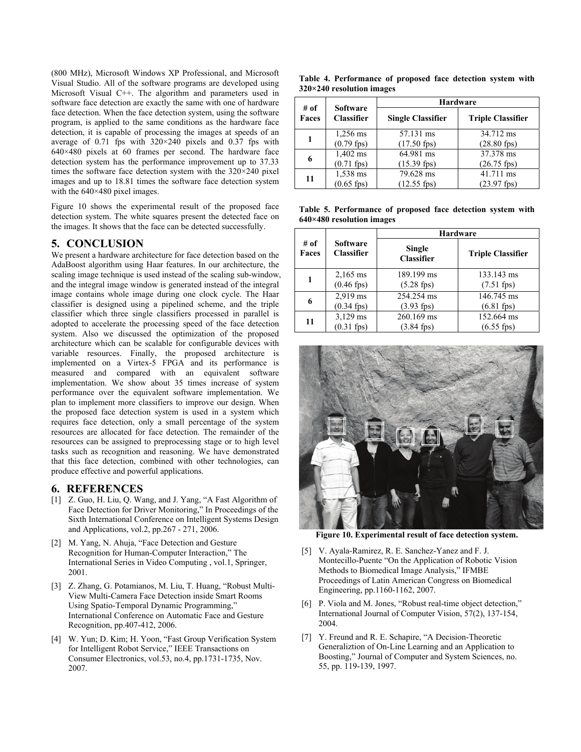(800 MHz), Microsoft Windows XP Professional, and Microsoft Visual Studio. All of the software programs are developed using Microsoft Visual C++. The algorithm and parameters used in software face detection are exactly the same with one of hardware face detection. When the face detection system, using the software program, is applied to the same conditions as the hardware face detection, it is capable of processing the images at speeds of an average of  $0.71$  fps with  $320 \times 240$  pixels and  $0.37$  fps with 640×480 pixels at 60 frames per second. The hardware face detection system has the performance improvement up to 37.33 times the software face detection system with the 320×240 pixel images and up to 18.81 times the software face detection system with the  $640\times480$  pixel images.

Figure 10 shows the experimental result of the proposed face detection system. The white squares present the detected face on the images. It shows that the face can be detected successfully.

# **5. CONCLUSION**

We present a hardware architecture for face detection based on the AdaBoost algorithm using Haar features. In our architecture, the scaling image technique is used instead of the scaling sub-window, and the integral image window is generated instead of the integral image contains whole image during one clock cycle. The Haar classifier is designed using a pipelined scheme, and the triple classifier which three single classifiers processed in parallel is adopted to accelerate the processing speed of the face detection system. Also we discussed the optimization of the proposed architecture which can be scalable for configurable devices with variable resources. Finally, the proposed architecture is implemented on a Virtex-5 FPGA and its performance is measured and compared with an equivalent software implementation. We show about 35 times increase of system performance over the equivalent software implementation. We plan to implement more classifiers to improve our design. When the proposed face detection system is used in a system which requires face detection, only a small percentage of the system resources are allocated for face detection. The remainder of the resources can be assigned to preprocessing stage or to high level tasks such as recognition and reasoning. We have demonstrated that this face detection, combined with other technologies, can produce effective and powerful applications.

## **6. REFERENCES**

- [1] Z. Guo, H. Liu, Q. Wang, and J. Yang, "A Fast Algorithm of Face Detection for Driver Monitoring," In Proceedings of the Sixth International Conference on Intelligent Systems Design and Applications, vol.2, pp.267 - 271, 2006.
- [2] M. Yang, N. Ahuja, "Face Detection and Gesture Recognition for Human-Computer Interaction," The International Series in Video Computing , vol.1, Springer, 2001.
- [3] Z. Zhang, G. Potamianos, M. Liu, T. Huang, "Robust Multi-View Multi-Camera Face Detection inside Smart Rooms Using Spatio-Temporal Dynamic Programming," International Conference on Automatic Face and Gesture Recognition, pp.407-412, 2006.
- [4] W. Yun; D. Kim; H. Yoon, "Fast Group Verification System for Intelligent Robot Service," IEEE Transactions on Consumer Electronics, vol.53, no.4, pp.1731-1735, Nov. 2007.

|  | Table 4. Performance of proposed face detection system with |  |  |  |
|--|-------------------------------------------------------------|--|--|--|
|  | $320\times240$ resolution images                            |  |  |  |

|               | <b>Software</b><br><b>Classifier</b> | <b>Hardware</b>          |                          |  |  |
|---------------|--------------------------------------|--------------------------|--------------------------|--|--|
| # of<br>Faces |                                      | <b>Single Classifier</b> | <b>Triple Classifier</b> |  |  |
| 1             | 1,256 ms                             | 57.131 ms                | 34.712 ms                |  |  |
|               | $(0.79$ fps)                         | $(17.50$ fps)            | $(28.80$ fps)            |  |  |
| 6             | 1,402 ms                             | 64.981 ms                | 37.378 ms                |  |  |
|               | $(0.71$ fps)                         | $(15.39$ fps)            | $(26.75$ fps)            |  |  |
| 11            | 1,538 ms                             | 79.628 ms                | 41.711 ms                |  |  |
|               | $(0.65$ fps)                         | $(12.55$ fps)            | $(23.97$ fps)            |  |  |

**Table 5. Performance of proposed face detection system with 640×480 resolution images** 

|               | Software<br><b>Classifier</b> | Hardware                           |                          |  |  |
|---------------|-------------------------------|------------------------------------|--------------------------|--|--|
| # of<br>Faces |                               | <b>Single</b><br><b>Classifier</b> | <b>Triple Classifier</b> |  |  |
| 1             | 2,165 ms                      | 189.199 ms                         | 133.143 ms               |  |  |
|               | $(0.46$ fps)                  | $(5.28$ fps)                       | $(7.51$ fps)             |  |  |
| 6             | 2,919 ms                      | 254.254 ms                         | 146.745 ms               |  |  |
|               | $(0.34$ fps)                  | $(3.93$ fps)                       | $(6.81$ fps)             |  |  |
| 11            | $3,129$ ms                    | 260.169 ms                         | 152.664 ms               |  |  |
|               | $(0.31$ fps)                  | $(3.84 \text{fps})$                | $(6.55$ fps)             |  |  |



**Figure 10. Experimental result of face detection system.**

- [5] V. Ayala-Ramirez, R. E. Sanchez-Yanez and F. J. Montecillo-Puente "On the Application of Robotic Vision Methods to Biomedical Image Analysis," IFMBE Proceedings of Latin American Congress on Biomedical Engineering, pp.1160-1162, 2007.
- [6] P. Viola and M. Jones, "Robust real-time object detection," International Journal of Computer Vision, 57(2), 137-154, 2004.
- [7] Y. Freund and R. E. Schapire, "A Decision-Theoretic Generaliztion of On-Line Learning and an Application to Boosting," Journal of Computer and System Sciences, no. 55, pp. 119-139, 1997.